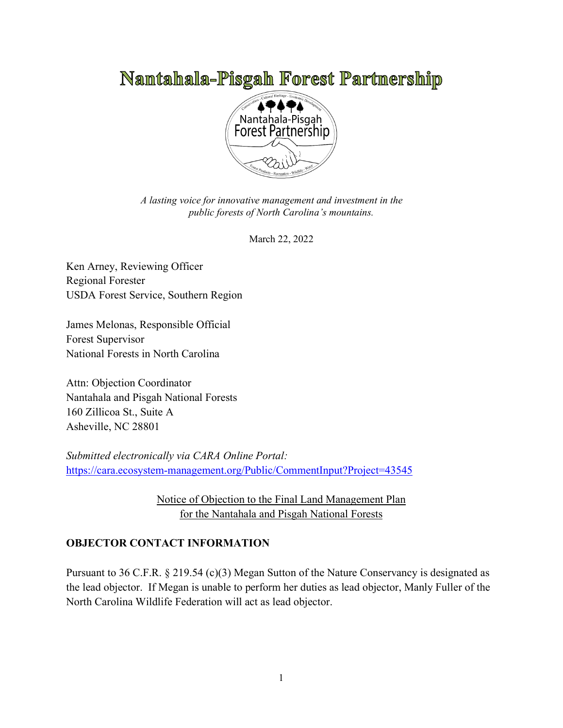# Namtahala-Pisgah Forest Partmership



*A lasting voice for innovative management and investment in the public forests of North Carolina's mountains.*

March 22, 2022

Ken Arney, Reviewing Officer Regional Forester USDA Forest Service, Southern Region

James Melonas, Responsible Official Forest Supervisor National Forests in North Carolina

Attn: Objection Coordinator Nantahala and Pisgah National Forests 160 Zillicoa St., Suite A Asheville, NC 28801

*Submitted electronically via CARA Online Portal:* https://cara.ecosystem-management.org/Public/CommentInput?Project=43545

> Notice of Objection to the Final Land Management Plan for the Nantahala and Pisgah National Forests

## **OBJECTOR CONTACT INFORMATION**

Pursuant to 36 C.F.R. § 219.54 (c)(3) Megan Sutton of the Nature Conservancy is designated as the lead objector. If Megan is unable to perform her duties as lead objector, Manly Fuller of the North Carolina Wildlife Federation will act as lead objector.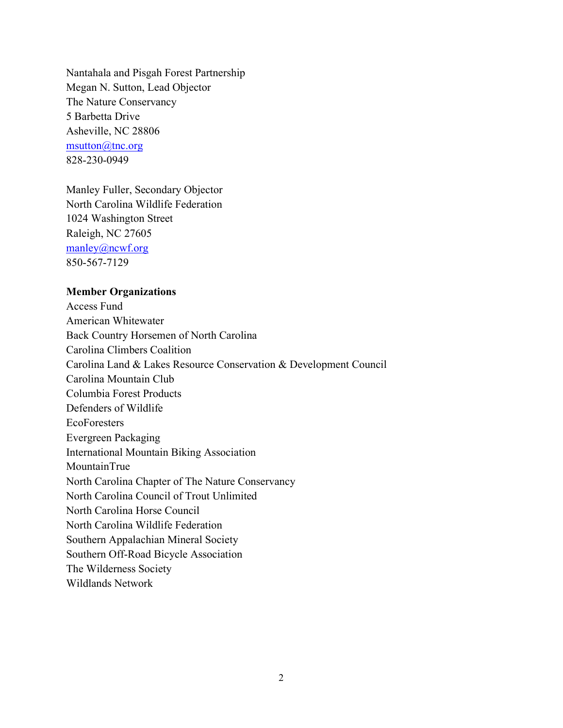Nantahala and Pisgah Forest Partnership Megan N. Sutton, Lead Objector The Nature Conservancy 5 Barbetta Drive Asheville, NC 28806 msutton@tnc.org 828-230-0949

Manley Fuller, Secondary Objector North Carolina Wildlife Federation 1024 Washington Street Raleigh, NC 27605 manley@ncwf.org 850-567-7129

#### **Member Organizations**

Access Fund American Whitewater Back Country Horsemen of North Carolina Carolina Climbers Coalition Carolina Land & Lakes Resource Conservation & Development Council Carolina Mountain Club Columbia Forest Products Defenders of Wildlife EcoForesters Evergreen Packaging International Mountain Biking Association MountainTrue North Carolina Chapter of The Nature Conservancy North Carolina Council of Trout Unlimited North Carolina Horse Council North Carolina Wildlife Federation Southern Appalachian Mineral Society Southern Off-Road Bicycle Association The Wilderness Society Wildlands Network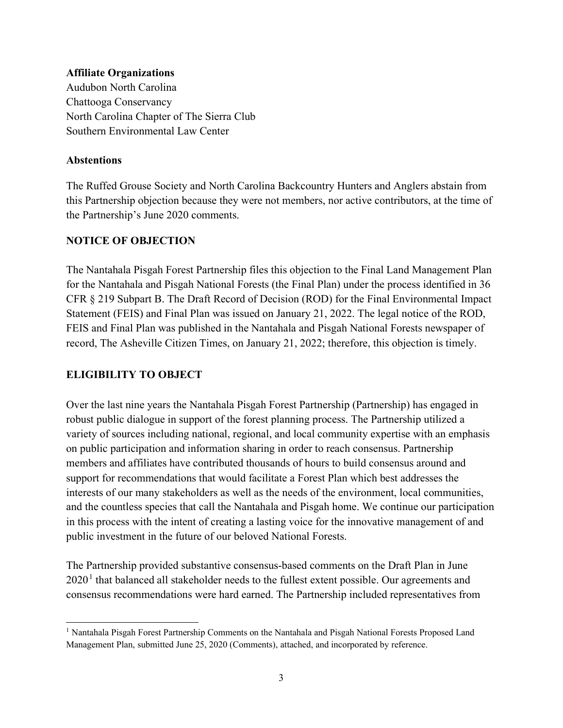#### **Affiliate Organizations**

Audubon North Carolina Chattooga Conservancy North Carolina Chapter of The Sierra Club Southern Environmental Law Center

#### **Abstentions**

The Ruffed Grouse Society and North Carolina Backcountry Hunters and Anglers abstain from this Partnership objection because they were not members, nor active contributors, at the time of the Partnership's June 2020 comments.

#### **NOTICE OF OBJECTION**

The Nantahala Pisgah Forest Partnership files this objection to the Final Land Management Plan for the Nantahala and Pisgah National Forests (the Final Plan) under the process identified in 36 CFR § 219 Subpart B. The Draft Record of Decision (ROD) for the Final Environmental Impact Statement (FEIS) and Final Plan was issued on January 21, 2022. The legal notice of the ROD, FEIS and Final Plan was published in the Nantahala and Pisgah National Forests newspaper of record, The Asheville Citizen Times, on January 21, 2022; therefore, this objection is timely.

#### **ELIGIBILITY TO OBJECT**

Over the last nine years the Nantahala Pisgah Forest Partnership (Partnership) has engaged in robust public dialogue in support of the forest planning process. The Partnership utilized a variety of sources including national, regional, and local community expertise with an emphasis on public participation and information sharing in order to reach consensus. Partnership members and affiliates have contributed thousands of hours to build consensus around and support for recommendations that would facilitate a Forest Plan which best addresses the interests of our many stakeholders as well as the needs of the environment, local communities, and the countless species that call the Nantahala and Pisgah home. We continue our participation in this process with the intent of creating a lasting voice for the innovative management of and public investment in the future of our beloved National Forests.

The Partnership provided substantive consensus-based comments on the Draft Plan in June  $2020<sup>1</sup>$  that balanced all stakeholder needs to the fullest extent possible. Our agreements and consensus recommendations were hard earned. The Partnership included representatives from

<sup>&</sup>lt;sup>1</sup> Nantahala Pisgah Forest Partnership Comments on the Nantahala and Pisgah National Forests Proposed Land Management Plan, submitted June 25, 2020 (Comments), attached, and incorporated by reference.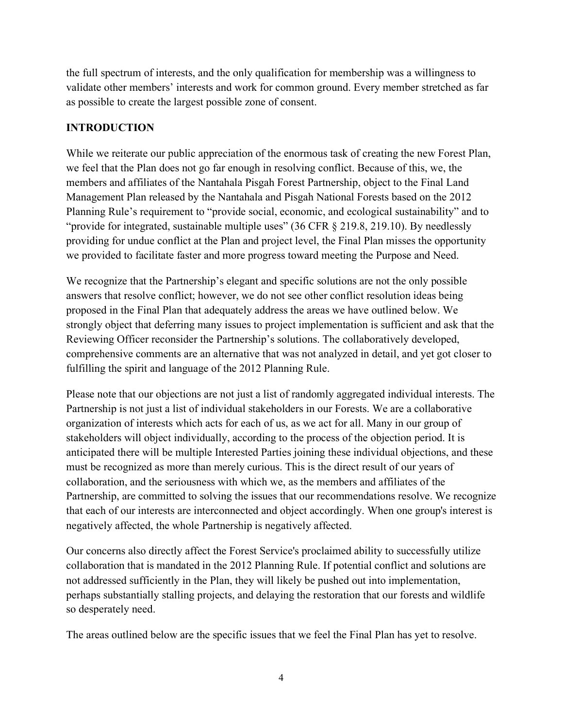the full spectrum of interests, and the only qualification for membership was a willingness to validate other members' interests and work for common ground. Every member stretched as far as possible to create the largest possible zone of consent.

## **INTRODUCTION**

While we reiterate our public appreciation of the enormous task of creating the new Forest Plan, we feel that the Plan does not go far enough in resolving conflict. Because of this, we, the members and affiliates of the Nantahala Pisgah Forest Partnership, object to the Final Land Management Plan released by the Nantahala and Pisgah National Forests based on the 2012 Planning Rule's requirement to "provide social, economic, and ecological sustainability" and to "provide for integrated, sustainable multiple uses" (36 CFR § 219.8, 219.10). By needlessly providing for undue conflict at the Plan and project level, the Final Plan misses the opportunity we provided to facilitate faster and more progress toward meeting the Purpose and Need.

We recognize that the Partnership's elegant and specific solutions are not the only possible answers that resolve conflict; however, we do not see other conflict resolution ideas being proposed in the Final Plan that adequately address the areas we have outlined below. We strongly object that deferring many issues to project implementation is sufficient and ask that the Reviewing Officer reconsider the Partnership's solutions. The collaboratively developed, comprehensive comments are an alternative that was not analyzed in detail, and yet got closer to fulfilling the spirit and language of the 2012 Planning Rule.

Please note that our objections are not just a list of randomly aggregated individual interests. The Partnership is not just a list of individual stakeholders in our Forests. We are a collaborative organization of interests which acts for each of us, as we act for all. Many in our group of stakeholders will object individually, according to the process of the objection period. It is anticipated there will be multiple Interested Parties joining these individual objections, and these must be recognized as more than merely curious. This is the direct result of our years of collaboration, and the seriousness with which we, as the members and affiliates of the Partnership, are committed to solving the issues that our recommendations resolve. We recognize that each of our interests are interconnected and object accordingly. When one group's interest is negatively affected, the whole Partnership is negatively affected.

Our concerns also directly affect the Forest Service's proclaimed ability to successfully utilize collaboration that is mandated in the 2012 Planning Rule. If potential conflict and solutions are not addressed sufficiently in the Plan, they will likely be pushed out into implementation, perhaps substantially stalling projects, and delaying the restoration that our forests and wildlife so desperately need.

The areas outlined below are the specific issues that we feel the Final Plan has yet to resolve.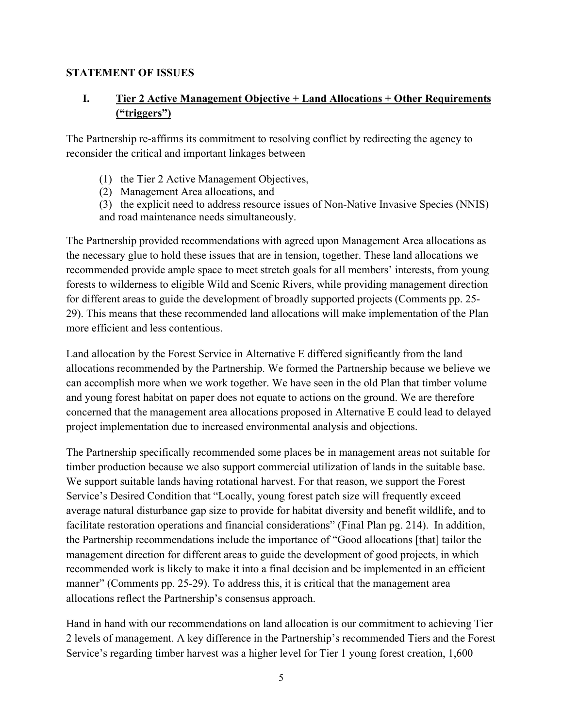#### **STATEMENT OF ISSUES**

## **I. Tier 2 Active Management Objective + Land Allocations + Other Requirements ("triggers")**

The Partnership re-affirms its commitment to resolving conflict by redirecting the agency to reconsider the critical and important linkages between

- (1) the Tier 2 Active Management Objectives,
- (2) Management Area allocations, and
- (3) the explicit need to address resource issues of Non-Native Invasive Species (NNIS) and road maintenance needs simultaneously.

The Partnership provided recommendations with agreed upon Management Area allocations as the necessary glue to hold these issues that are in tension, together. These land allocations we recommended provide ample space to meet stretch goals for all members' interests, from young forests to wilderness to eligible Wild and Scenic Rivers, while providing management direction for different areas to guide the development of broadly supported projects (Comments pp. 25- 29). This means that these recommended land allocations will make implementation of the Plan more efficient and less contentious.

Land allocation by the Forest Service in Alternative E differed significantly from the land allocations recommended by the Partnership. We formed the Partnership because we believe we can accomplish more when we work together. We have seen in the old Plan that timber volume and young forest habitat on paper does not equate to actions on the ground. We are therefore concerned that the management area allocations proposed in Alternative E could lead to delayed project implementation due to increased environmental analysis and objections.

The Partnership specifically recommended some places be in management areas not suitable for timber production because we also support commercial utilization of lands in the suitable base. We support suitable lands having rotational harvest. For that reason, we support the Forest Service's Desired Condition that "Locally, young forest patch size will frequently exceed average natural disturbance gap size to provide for habitat diversity and benefit wildlife, and to facilitate restoration operations and financial considerations" (Final Plan pg. 214). In addition, the Partnership recommendations include the importance of "Good allocations [that] tailor the management direction for different areas to guide the development of good projects, in which recommended work is likely to make it into a final decision and be implemented in an efficient manner" (Comments pp. 25-29). To address this, it is critical that the management area allocations reflect the Partnership's consensus approach.

Hand in hand with our recommendations on land allocation is our commitment to achieving Tier 2 levels of management. A key difference in the Partnership's recommended Tiers and the Forest Service's regarding timber harvest was a higher level for Tier 1 young forest creation, 1,600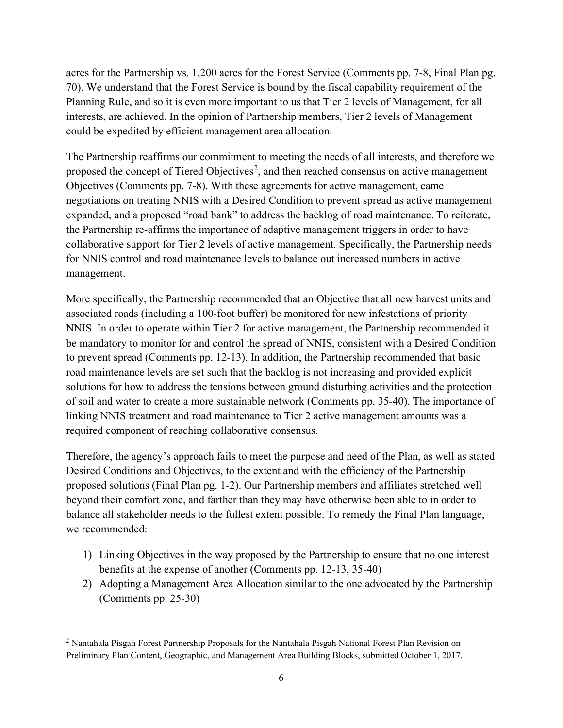acres for the Partnership vs. 1,200 acres for the Forest Service (Comments pp. 7-8, Final Plan pg. 70). We understand that the Forest Service is bound by the fiscal capability requirement of the Planning Rule, and so it is even more important to us that Tier 2 levels of Management, for all interests, are achieved. In the opinion of Partnership members, Tier 2 levels of Management could be expedited by efficient management area allocation.

The Partnership reaffirms our commitment to meeting the needs of all interests, and therefore we proposed the concept of Tiered Objectives<sup>2</sup>, and then reached consensus on active management Objectives (Comments pp. 7-8). With these agreements for active management, came negotiations on treating NNIS with a Desired Condition to prevent spread as active management expanded, and a proposed "road bank" to address the backlog of road maintenance. To reiterate, the Partnership re-affirms the importance of adaptive management triggers in order to have collaborative support for Tier 2 levels of active management. Specifically, the Partnership needs for NNIS control and road maintenance levels to balance out increased numbers in active management.

More specifically, the Partnership recommended that an Objective that all new harvest units and associated roads (including a 100-foot buffer) be monitored for new infestations of priority NNIS. In order to operate within Tier 2 for active management, the Partnership recommended it be mandatory to monitor for and control the spread of NNIS, consistent with a Desired Condition to prevent spread (Comments pp. 12-13). In addition, the Partnership recommended that basic road maintenance levels are set such that the backlog is not increasing and provided explicit solutions for how to address the tensions between ground disturbing activities and the protection of soil and water to create a more sustainable network (Comments pp. 35-40). The importance of linking NNIS treatment and road maintenance to Tier 2 active management amounts was a required component of reaching collaborative consensus.

Therefore, the agency's approach fails to meet the purpose and need of the Plan, as well as stated Desired Conditions and Objectives, to the extent and with the efficiency of the Partnership proposed solutions (Final Plan pg. 1-2). Our Partnership members and affiliates stretched well beyond their comfort zone, and farther than they may have otherwise been able to in order to balance all stakeholder needs to the fullest extent possible. To remedy the Final Plan language, we recommended:

- 1) Linking Objectives in the way proposed by the Partnership to ensure that no one interest benefits at the expense of another (Comments pp. 12-13, 35-40)
- 2) Adopting a Management Area Allocation similar to the one advocated by the Partnership (Comments pp. 25-30)

<sup>&</sup>lt;sup>2</sup> Nantahala Pisgah Forest Partnership Proposals for the Nantahala Pisgah National Forest Plan Revision on Preliminary Plan Content, Geographic, and Management Area Building Blocks, submitted October 1, 2017.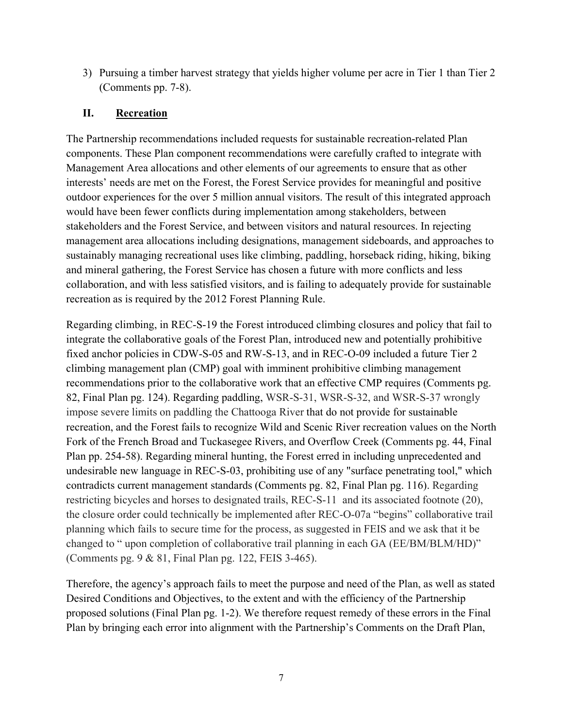3) Pursuing a timber harvest strategy that yields higher volume per acre in Tier 1 than Tier 2 (Comments pp. 7-8).

### **II. Recreation**

The Partnership recommendations included requests for sustainable recreation-related Plan components. These Plan component recommendations were carefully crafted to integrate with Management Area allocations and other elements of our agreements to ensure that as other interests' needs are met on the Forest, the Forest Service provides for meaningful and positive outdoor experiences for the over 5 million annual visitors. The result of this integrated approach would have been fewer conflicts during implementation among stakeholders, between stakeholders and the Forest Service, and between visitors and natural resources. In rejecting management area allocations including designations, management sideboards, and approaches to sustainably managing recreational uses like climbing, paddling, horseback riding, hiking, biking and mineral gathering, the Forest Service has chosen a future with more conflicts and less collaboration, and with less satisfied visitors, and is failing to adequately provide for sustainable recreation as is required by the 2012 Forest Planning Rule.

Regarding climbing, in REC-S-19 the Forest introduced climbing closures and policy that fail to integrate the collaborative goals of the Forest Plan, introduced new and potentially prohibitive fixed anchor policies in CDW-S-05 and RW-S-13, and in REC-O-09 included a future Tier 2 climbing management plan (CMP) goal with imminent prohibitive climbing management recommendations prior to the collaborative work that an effective CMP requires (Comments pg. 82, Final Plan pg. 124). Regarding paddling, WSR-S-31, WSR-S-32, and WSR-S-37 wrongly impose severe limits on paddling the Chattooga River that do not provide for sustainable recreation, and the Forest fails to recognize Wild and Scenic River recreation values on the North Fork of the French Broad and Tuckasegee Rivers, and Overflow Creek (Comments pg. 44, Final Plan pp. 254-58). Regarding mineral hunting, the Forest erred in including unprecedented and undesirable new language in REC-S-03, prohibiting use of any "surface penetrating tool," which contradicts current management standards (Comments pg. 82, Final Plan pg. 116). Regarding restricting bicycles and horses to designated trails, REC-S-11 and its associated footnote (20), the closure order could technically be implemented after REC-O-07a "begins" collaborative trail planning which fails to secure time for the process, as suggested in FEIS and we ask that it be changed to " upon completion of collaborative trail planning in each GA (EE/BM/BLM/HD)" (Comments pg. 9 & 81, Final Plan pg. 122, FEIS 3-465).

Therefore, the agency's approach fails to meet the purpose and need of the Plan, as well as stated Desired Conditions and Objectives, to the extent and with the efficiency of the Partnership proposed solutions (Final Plan pg. 1-2). We therefore request remedy of these errors in the Final Plan by bringing each error into alignment with the Partnership's Comments on the Draft Plan,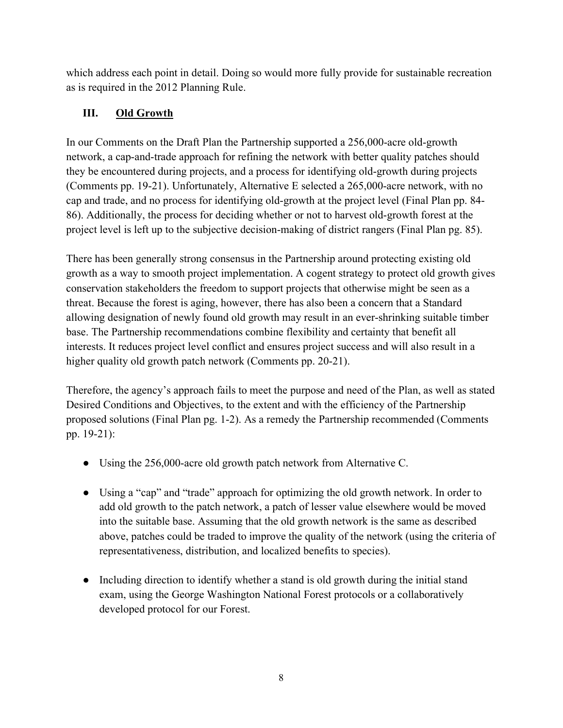which address each point in detail. Doing so would more fully provide for sustainable recreation as is required in the 2012 Planning Rule.

## **III. Old Growth**

In our Comments on the Draft Plan the Partnership supported a 256,000-acre old-growth network, a cap-and-trade approach for refining the network with better quality patches should they be encountered during projects, and a process for identifying old-growth during projects (Comments pp. 19-21). Unfortunately, Alternative E selected a 265,000-acre network, with no cap and trade, and no process for identifying old-growth at the project level (Final Plan pp. 84- 86). Additionally, the process for deciding whether or not to harvest old-growth forest at the project level is left up to the subjective decision-making of district rangers (Final Plan pg. 85).

There has been generally strong consensus in the Partnership around protecting existing old growth as a way to smooth project implementation. A cogent strategy to protect old growth gives conservation stakeholders the freedom to support projects that otherwise might be seen as a threat. Because the forest is aging, however, there has also been a concern that a Standard allowing designation of newly found old growth may result in an ever-shrinking suitable timber base. The Partnership recommendations combine flexibility and certainty that benefit all interests. It reduces project level conflict and ensures project success and will also result in a higher quality old growth patch network (Comments pp. 20-21).

Therefore, the agency's approach fails to meet the purpose and need of the Plan, as well as stated Desired Conditions and Objectives, to the extent and with the efficiency of the Partnership proposed solutions (Final Plan pg. 1-2). As a remedy the Partnership recommended (Comments pp. 19-21):

- Using the 256,000-acre old growth patch network from Alternative C.
- Using a "cap" and "trade" approach for optimizing the old growth network. In order to add old growth to the patch network, a patch of lesser value elsewhere would be moved into the suitable base. Assuming that the old growth network is the same as described above, patches could be traded to improve the quality of the network (using the criteria of representativeness, distribution, and localized benefits to species).
- Including direction to identify whether a stand is old growth during the initial stand exam, using the George Washington National Forest protocols or a collaboratively developed protocol for our Forest.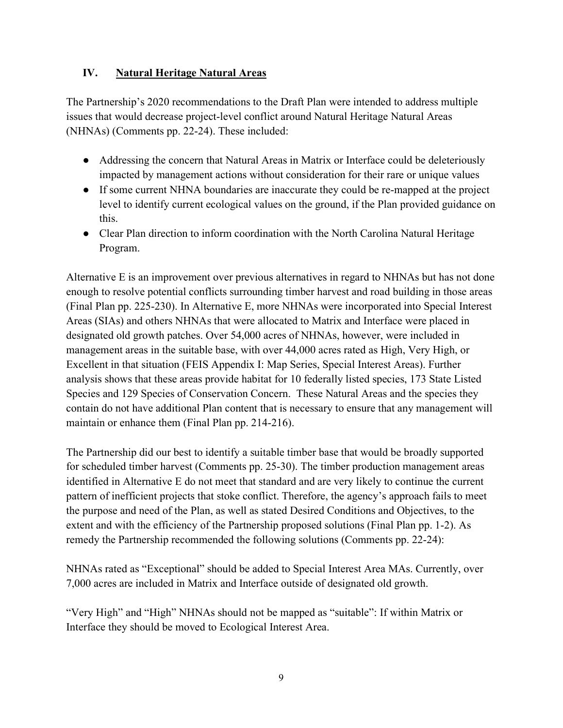## **IV. Natural Heritage Natural Areas**

The Partnership's 2020 recommendations to the Draft Plan were intended to address multiple issues that would decrease project-level conflict around Natural Heritage Natural Areas (NHNAs) (Comments pp. 22-24). These included:

- Addressing the concern that Natural Areas in Matrix or Interface could be deleteriously impacted by management actions without consideration for their rare or unique values
- If some current NHNA boundaries are inaccurate they could be re-mapped at the project level to identify current ecological values on the ground, if the Plan provided guidance on this.
- Clear Plan direction to inform coordination with the North Carolina Natural Heritage Program.

Alternative E is an improvement over previous alternatives in regard to NHNAs but has not done enough to resolve potential conflicts surrounding timber harvest and road building in those areas (Final Plan pp. 225-230). In Alternative E, more NHNAs were incorporated into Special Interest Areas (SIAs) and others NHNAs that were allocated to Matrix and Interface were placed in designated old growth patches. Over 54,000 acres of NHNAs, however, were included in management areas in the suitable base, with over 44,000 acres rated as High, Very High, or Excellent in that situation (FEIS Appendix I: Map Series, Special Interest Areas). Further analysis shows that these areas provide habitat for 10 federally listed species, 173 State Listed Species and 129 Species of Conservation Concern. These Natural Areas and the species they contain do not have additional Plan content that is necessary to ensure that any management will maintain or enhance them (Final Plan pp. 214-216).

The Partnership did our best to identify a suitable timber base that would be broadly supported for scheduled timber harvest (Comments pp. 25-30). The timber production management areas identified in Alternative E do not meet that standard and are very likely to continue the current pattern of inefficient projects that stoke conflict. Therefore, the agency's approach fails to meet the purpose and need of the Plan, as well as stated Desired Conditions and Objectives, to the extent and with the efficiency of the Partnership proposed solutions (Final Plan pp. 1-2). As remedy the Partnership recommended the following solutions (Comments pp. 22-24):

NHNAs rated as "Exceptional" should be added to Special Interest Area MAs. Currently, over 7,000 acres are included in Matrix and Interface outside of designated old growth.

"Very High" and "High" NHNAs should not be mapped as "suitable": If within Matrix or Interface they should be moved to Ecological Interest Area.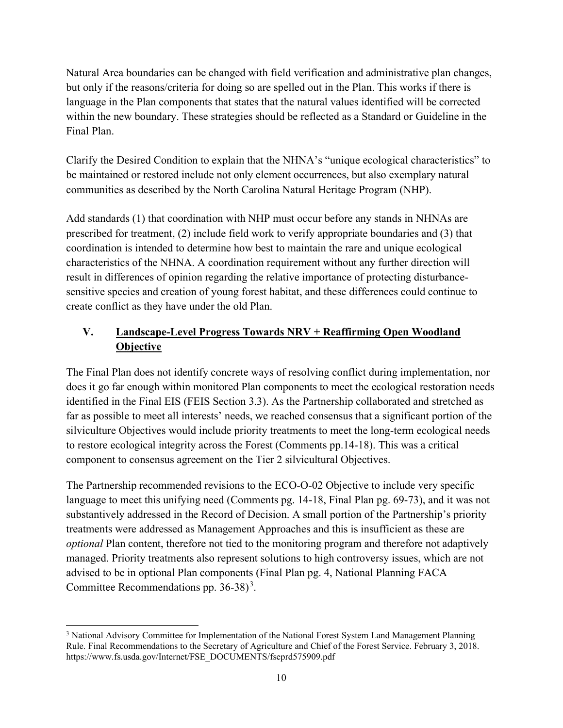Natural Area boundaries can be changed with field verification and administrative plan changes, but only if the reasons/criteria for doing so are spelled out in the Plan. This works if there is language in the Plan components that states that the natural values identified will be corrected within the new boundary. These strategies should be reflected as a Standard or Guideline in the Final Plan.

Clarify the Desired Condition to explain that the NHNA's "unique ecological characteristics" to be maintained or restored include not only element occurrences, but also exemplary natural communities as described by the North Carolina Natural Heritage Program (NHP).

Add standards (1) that coordination with NHP must occur before any stands in NHNAs are prescribed for treatment, (2) include field work to verify appropriate boundaries and (3) that coordination is intended to determine how best to maintain the rare and unique ecological characteristics of the NHNA. A coordination requirement without any further direction will result in differences of opinion regarding the relative importance of protecting disturbancesensitive species and creation of young forest habitat, and these differences could continue to create conflict as they have under the old Plan.

## **V. Landscape-Level Progress Towards NRV + Reaffirming Open Woodland Objective**

The Final Plan does not identify concrete ways of resolving conflict during implementation, nor does it go far enough within monitored Plan components to meet the ecological restoration needs identified in the Final EIS (FEIS Section 3.3). As the Partnership collaborated and stretched as far as possible to meet all interests' needs, we reached consensus that a significant portion of the silviculture Objectives would include priority treatments to meet the long-term ecological needs to restore ecological integrity across the Forest (Comments pp.14-18). This was a critical component to consensus agreement on the Tier 2 silvicultural Objectives.

The Partnership recommended revisions to the ECO-O-02 Objective to include very specific language to meet this unifying need (Comments pg. 14-18, Final Plan pg. 69-73), and it was not substantively addressed in the Record of Decision. A small portion of the Partnership's priority treatments were addressed as Management Approaches and this is insufficient as these are *optional* Plan content, therefore not tied to the monitoring program and therefore not adaptively managed. Priority treatments also represent solutions to high controversy issues, which are not advised to be in optional Plan components (Final Plan pg. 4, National Planning FACA Committee Recommendations pp.  $36-38$ <sup>3</sup>.

<sup>&</sup>lt;sup>3</sup> National Advisory Committee for Implementation of the National Forest System Land Management Planning Rule. Final Recommendations to the Secretary of Agriculture and Chief of the Forest Service. February 3, 2018. https://www.fs.usda.gov/Internet/FSE\_DOCUMENTS/fseprd575909.pdf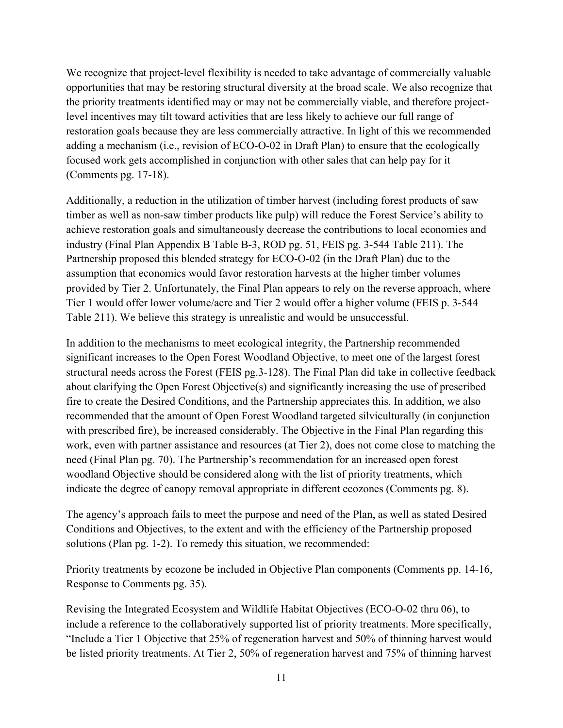We recognize that project-level flexibility is needed to take advantage of commercially valuable opportunities that may be restoring structural diversity at the broad scale. We also recognize that the priority treatments identified may or may not be commercially viable, and therefore projectlevel incentives may tilt toward activities that are less likely to achieve our full range of restoration goals because they are less commercially attractive. In light of this we recommended adding a mechanism (i.e., revision of ECO-O-02 in Draft Plan) to ensure that the ecologically focused work gets accomplished in conjunction with other sales that can help pay for it (Comments pg. 17-18).

Additionally, a reduction in the utilization of timber harvest (including forest products of saw timber as well as non-saw timber products like pulp) will reduce the Forest Service's ability to achieve restoration goals and simultaneously decrease the contributions to local economies and industry (Final Plan Appendix B Table B-3, ROD pg. 51, FEIS pg. 3-544 Table 211). The Partnership proposed this blended strategy for ECO-O-02 (in the Draft Plan) due to the assumption that economics would favor restoration harvests at the higher timber volumes provided by Tier 2. Unfortunately, the Final Plan appears to rely on the reverse approach, where Tier 1 would offer lower volume/acre and Tier 2 would offer a higher volume (FEIS p. 3-544 Table 211). We believe this strategy is unrealistic and would be unsuccessful.

In addition to the mechanisms to meet ecological integrity, the Partnership recommended significant increases to the Open Forest Woodland Objective, to meet one of the largest forest structural needs across the Forest (FEIS pg.3-128). The Final Plan did take in collective feedback about clarifying the Open Forest Objective(s) and significantly increasing the use of prescribed fire to create the Desired Conditions, and the Partnership appreciates this. In addition, we also recommended that the amount of Open Forest Woodland targeted silviculturally (in conjunction with prescribed fire), be increased considerably. The Objective in the Final Plan regarding this work, even with partner assistance and resources (at Tier 2), does not come close to matching the need (Final Plan pg. 70). The Partnership's recommendation for an increased open forest woodland Objective should be considered along with the list of priority treatments, which indicate the degree of canopy removal appropriate in different ecozones (Comments pg. 8).

The agency's approach fails to meet the purpose and need of the Plan, as well as stated Desired Conditions and Objectives, to the extent and with the efficiency of the Partnership proposed solutions (Plan pg. 1-2). To remedy this situation, we recommended:

Priority treatments by ecozone be included in Objective Plan components (Comments pp. 14-16, Response to Comments pg. 35).

Revising the Integrated Ecosystem and Wildlife Habitat Objectives (ECO-O-02 thru 06), to include a reference to the collaboratively supported list of priority treatments. More specifically, "Include a Tier 1 Objective that 25% of regeneration harvest and 50% of thinning harvest would be listed priority treatments. At Tier 2, 50% of regeneration harvest and 75% of thinning harvest